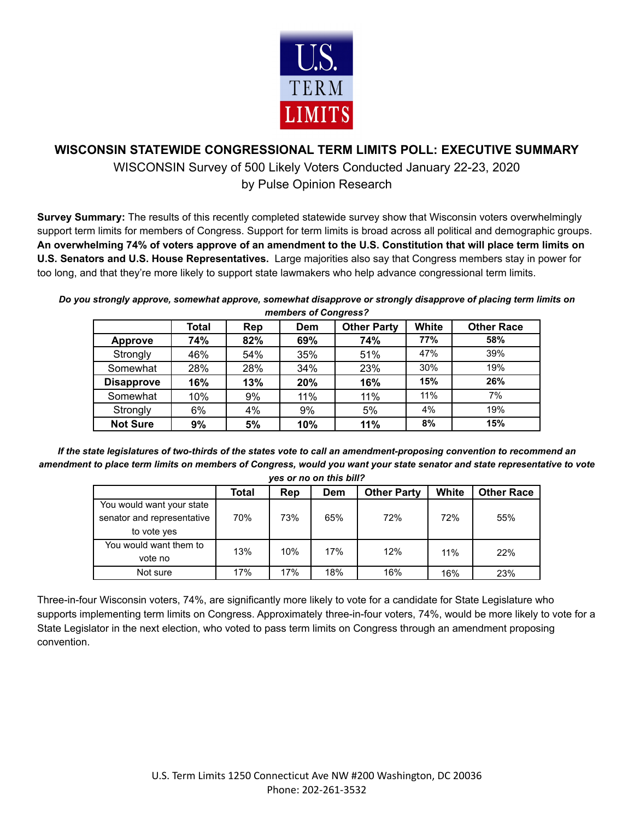

# **WISCONSIN STATEWIDE CONGRESSIONAL TERM LIMITS POLL: EXECUTIVE SUMMARY**

WISCONSIN Survey of 500 Likely Voters Conducted January 22-23, 2020 by Pulse Opinion Research

**Survey Summary:** The results of this recently completed statewide survey show that Wisconsin voters overwhelmingly support term limits for members of Congress. Support for term limits is broad across all political and demographic groups. An overwhelming 74% of voters approve of an amendment to the U.S. Constitution that will place term limits on **U.S. Senators and U.S. House Representatives.** Large majorities also say that Congress members stay in power for too long, and that they're more likely to support state lawmakers who help advance congressional term limits.

*Do you strongly approve, somewhat approve, somewhat disapprove or strongly disapprove of placing term limits on members of Congress?*

|                   | Total | Rep | Dem | <b>Other Party</b> | <b>White</b> | <b>Other Race</b> |
|-------------------|-------|-----|-----|--------------------|--------------|-------------------|
| <b>Approve</b>    | 74%   | 82% | 69% | 74%                | 77%          | 58%               |
| Strongly          | 46%   | 54% | 35% | 51%                | 47%          | 39%               |
| Somewhat          | 28%   | 28% | 34% | 23%                | 30%          | 19%               |
| <b>Disapprove</b> | 16%   | 13% | 20% | 16%                | 15%          | 26%               |
| Somewhat          | 10%   | 9%  | 11% | 11%                | 11%          | 7%                |
| Strongly          | 6%    | 4%  | 9%  | 5%                 | 4%           | 19%               |
| <b>Not Sure</b>   | 9%    | 5%  | 10% | 11%                | 8%           | 15%               |

*If the state legislatures of two-thirds of the states vote to call an amendment-proposing convention to recommend an amendment to place term limits on members of Congress, would you want your state senator and state representative to vote yes or no on this bill?*

|                            | Total | Rep | <b>Dem</b> | <b>Other Party</b> | White | <b>Other Race</b> |
|----------------------------|-------|-----|------------|--------------------|-------|-------------------|
| You would want your state  |       |     |            |                    |       |                   |
| senator and representative | 70%   | 73% | 65%        | 72%                | 72%   | 55%               |
| to vote yes                |       |     |            |                    |       |                   |
| You would want them to     | 13%   | 10% | 17%        | 12%                |       |                   |
| vote no                    |       |     |            |                    | 11%   | 22%               |
| Not sure                   | 17%   | 17% | 18%        | 16%                | 16%   | 23%               |

Three-in-four Wisconsin voters, 74%, are significantly more likely to vote for a candidate for State Legislature who supports implementing term limits on Congress. Approximately three-in-four voters, 74%, would be more likely to vote for a State Legislator in the next election, who voted to pass term limits on Congress through an amendment proposing convention.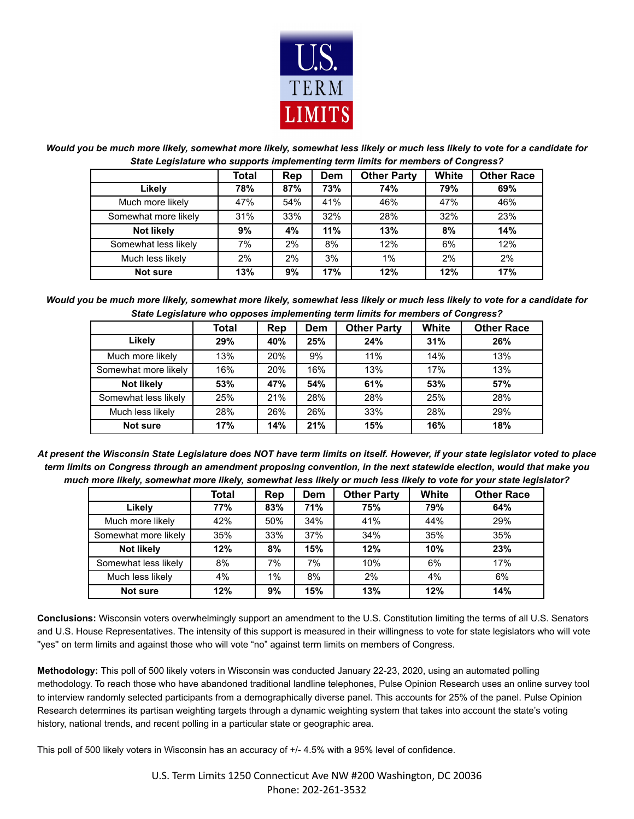

*Would you be much more likely, somewhat more likely, somewhat less likely or much less likely to vote for a candidate for State Legislature who supports implementing term limits for members of Congress?*

|                      | Total | Rep | <b>Dem</b> | <b>Other Party</b> | White | <b>Other Race</b> |
|----------------------|-------|-----|------------|--------------------|-------|-------------------|
| Likely               | 78%   | 87% | 73%        | <b>74%</b>         | 79%   | 69%               |
| Much more likely     | 47%   | 54% | 41%        | 46%                | 47%   | 46%               |
| Somewhat more likely | 31%   | 33% | 32%        | 28%                | 32%   | 23%               |
| <b>Not likely</b>    | 9%    | 4%  | 11%        | 13%                | 8%    | 14%               |
| Somewhat less likely | 7%    | 2%  | 8%         | 12%                | 6%    | 12%               |
| Much less likely     | 2%    | 2%  | 3%         | 1%                 | 2%    | 2%                |
| <b>Not sure</b>      | 13%   | 9%  | 17%        | 12%                | 12%   | 17%               |

*Would you be much more likely, somewhat more likely, somewhat less likely or much less likely to vote for a candidate for State Legislature who opposes implementing term limits for members of Congress?*

|                      | . .   |            |            |                    |       |                   |
|----------------------|-------|------------|------------|--------------------|-------|-------------------|
|                      | Total | Rep        | <b>Dem</b> | <b>Other Party</b> | White | <b>Other Race</b> |
| Likely               | 29%   | 40%        | 25%        | 24%                | 31%   | 26%               |
| Much more likely     | 13%   | 20%        | 9%         | 11%                | 14%   | 13%               |
| Somewhat more likely | 16%   | <b>20%</b> | 16%        | 13%                | 17%   | 13%               |
| <b>Not likely</b>    | 53%   | 47%        | 54%        | 61%                | 53%   | 57%               |
| Somewhat less likely | 25%   | 21%        | 28%        | 28%                | 25%   | 28%               |
| Much less likely     | 28%   | 26%        | 26%        | 33%                | 28%   | 29%               |
| <b>Not sure</b>      | 17%   | 14%        | 21%        | 15%                | 16%   | 18%               |

*At present the Wisconsin State Legislature does NOT have term limits on itself. However, if your state legislator voted to place term limits on Congress through an amendment proposing convention, in the next statewide election, would that make you much more likely, somewhat more likely, somewhat less likely or much less likely to vote for your state legislator?*

|                      | Total | Rep   | Dem | <b>Other Party</b> | White | <b>Other Race</b> |
|----------------------|-------|-------|-----|--------------------|-------|-------------------|
| Likely               | 77%   | 83%   | 71% | 75%                | 79%   | 64%               |
| Much more likely     | 42%   | 50%   | 34% | 41%                | 44%   | 29%               |
| Somewhat more likely | 35%   | 33%   | 37% | 34%                | 35%   | 35%               |
| Not likely           | 12%   | 8%    | 15% | 12%                | 10%   | 23%               |
| Somewhat less likely | 8%    | 7%    | 7%  | 10%                | 6%    | 17%               |
| Much less likely     | 4%    | $1\%$ | 8%  | 2%                 | 4%    | 6%                |
| Not sure             | 12%   | 9%    | 15% | 13%                | 12%   | 14%               |

**Conclusions:** Wisconsin voters overwhelmingly support an amendment to the U.S. Constitution limiting the terms of all U.S. Senators and U.S. House Representatives. The intensity of this support is measured in their willingness to vote for state legislators who will vote ''yes'' on term limits and against those who will vote "no" against term limits on members of Congress.

**Methodology:** This poll of 500 likely voters in Wisconsin was conducted January 22-23, 2020, using an automated polling methodology. To reach those who have abandoned traditional landline telephones, Pulse Opinion Research uses an online survey tool to interview randomly selected participants from a demographically diverse panel. This accounts for 25% of the panel. Pulse Opinion Research determines its partisan weighting targets through a dynamic weighting system that takes into account the state's voting history, national trends, and recent polling in a particular state or geographic area.

This poll of 500 likely voters in Wisconsin has an accuracy of +/- 4.5% with a 95% level of confidence.